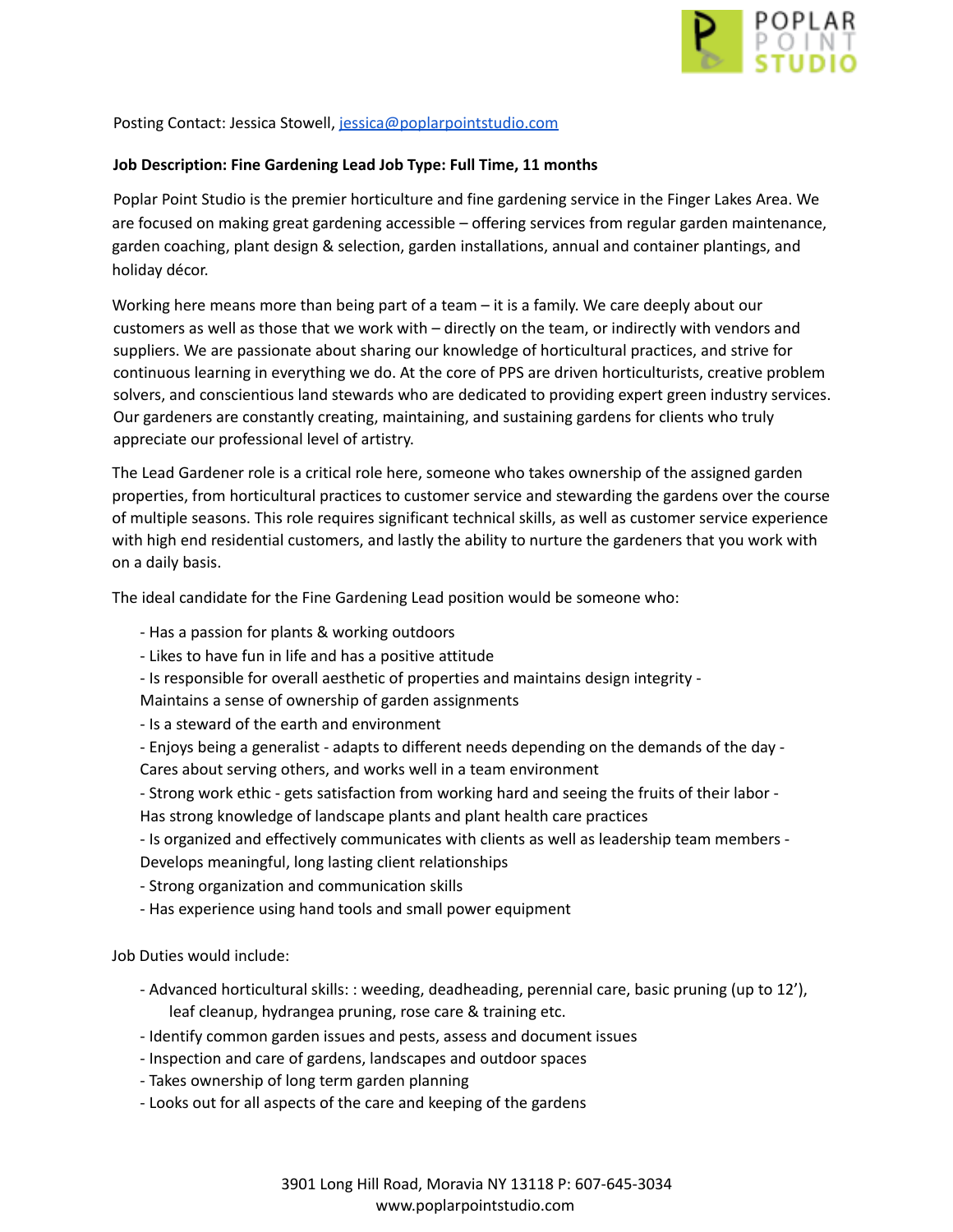

Posting Contact: Jessica Stowell, [jessica@poplarpointstudio.com](mailto:jessica@poplarpointstudio.com)

## **Job Description: Fine Gardening Lead Job Type: Full Time, 11 months**

Poplar Point Studio is the premier horticulture and fine gardening service in the Finger Lakes Area. We are focused on making great gardening accessible – offering services from regular garden maintenance, garden coaching, plant design & selection, garden installations, annual and container plantings, and holiday décor.

Working here means more than being part of a team – it is a family. We care deeply about our customers as well as those that we work with – directly on the team, or indirectly with vendors and suppliers. We are passionate about sharing our knowledge of horticultural practices, and strive for continuous learning in everything we do. At the core of PPS are driven horticulturists, creative problem solvers, and conscientious land stewards who are dedicated to providing expert green industry services. Our gardeners are constantly creating, maintaining, and sustaining gardens for clients who truly appreciate our professional level of artistry.

The Lead Gardener role is a critical role here, someone who takes ownership of the assigned garden properties, from horticultural practices to customer service and stewarding the gardens over the course of multiple seasons. This role requires significant technical skills, as well as customer service experience with high end residential customers, and lastly the ability to nurture the gardeners that you work with on a daily basis.

The ideal candidate for the Fine Gardening Lead position would be someone who:

- Has a passion for plants & working outdoors
- Likes to have fun in life and has a positive attitude
- Is responsible for overall aesthetic of properties and maintains design integrity -

Maintains a sense of ownership of garden assignments

- Is a steward of the earth and environment
- Enjoys being a generalist adapts to different needs depending on the demands of the day -
- Cares about serving others, and works well in a team environment
- Strong work ethic gets satisfaction from working hard and seeing the fruits of their labor Has strong knowledge of landscape plants and plant health care practices
- Is organized and effectively communicates with clients as well as leadership team members Develops meaningful, long lasting client relationships
- Strong organization and communication skills
- Has experience using hand tools and small power equipment

Job Duties would include:

- Advanced horticultural skills: : weeding, deadheading, perennial care, basic pruning (up to 12'), leaf cleanup, hydrangea pruning, rose care & training etc.
- Identify common garden issues and pests, assess and document issues
- Inspection and care of gardens, landscapes and outdoor spaces
- Takes ownership of long term garden planning
- Looks out for all aspects of the care and keeping of the gardens